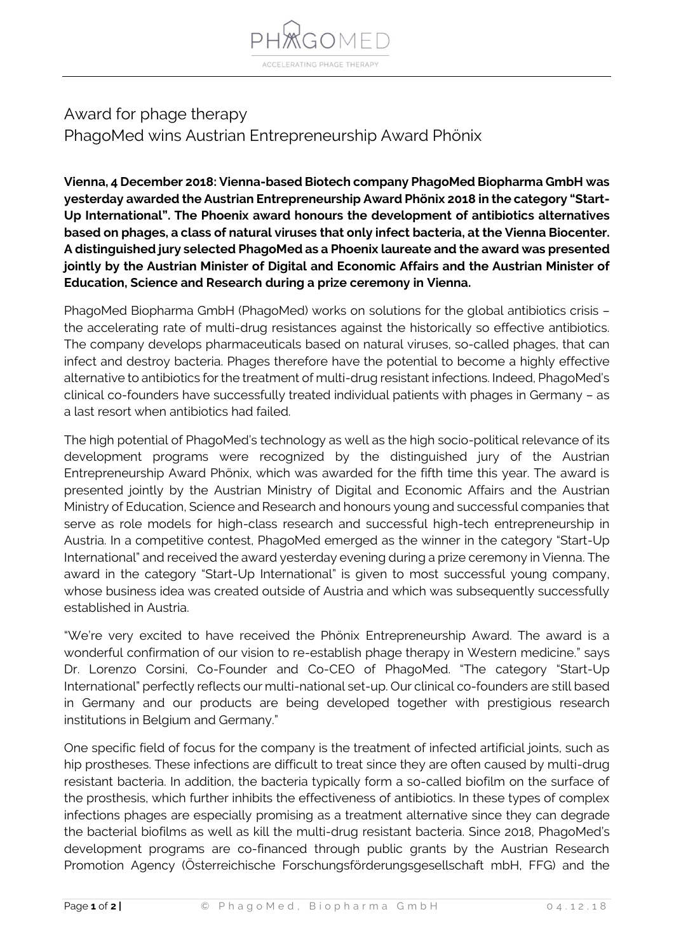

## Award for phage therapy PhagoMed wins Austrian Entrepreneurship Award Phönix

**Vienna, 4 December 2018: Vienna-based Biotech company PhagoMed Biopharma GmbH was yesterday awarded the Austrian Entrepreneurship Award Phönix 2018 in the category "Start-Up International". The Phoenix award honours the development of antibiotics alternatives based on phages, a class of natural viruses that only infect bacteria, at the Vienna Biocenter. A distinguished jury selected PhagoMed as a Phoenix laureate and the award was presented jointly by the Austrian Minister of Digital and Economic Affairs and the Austrian Minister of Education, Science and Research during a prize ceremony in Vienna.**

PhagoMed Biopharma GmbH (PhagoMed) works on solutions for the global antibiotics crisis – the accelerating rate of multi-drug resistances against the historically so effective antibiotics. The company develops pharmaceuticals based on natural viruses, so-called phages, that can infect and destroy bacteria. Phages therefore have the potential to become a highly effective alternative to antibiotics for the treatment of multi-drug resistant infections. Indeed, PhagoMed's clinical co-founders have successfully treated individual patients with phages in Germany – as a last resort when antibiotics had failed.

The high potential of PhagoMed's technology as well as the high socio-political relevance of its development programs were recognized by the distinguished jury of the Austrian Entrepreneurship Award Phönix, which was awarded for the fifth time this year. The award is presented jointly by the Austrian Ministry of Digital and Economic Affairs and the Austrian Ministry of Education, Science and Research and honours young and successful companies that serve as role models for high-class research and successful high-tech entrepreneurship in Austria. In a competitive contest, PhagoMed emerged as the winner in the category "Start-Up International" and received the award yesterday evening during a prize ceremony in Vienna. The award in the category "Start-Up International" is given to most successful young company, whose business idea was created outside of Austria and which was subsequently successfully established in Austria.

"We're very excited to have received the Phönix Entrepreneurship Award. The award is a wonderful confirmation of our vision to re-establish phage therapy in Western medicine." says Dr. Lorenzo Corsini, Co-Founder and Co-CEO of PhagoMed. "The category "Start-Up International" perfectly reflects our multi-national set-up. Our clinical co-founders are still based in Germany and our products are being developed together with prestigious research institutions in Belgium and Germany."

One specific field of focus for the company is the treatment of infected artificial joints, such as hip prostheses. These infections are difficult to treat since they are often caused by multi-drug resistant bacteria. In addition, the bacteria typically form a so-called biofilm on the surface of the prosthesis, which further inhibits the effectiveness of antibiotics. In these types of complex infections phages are especially promising as a treatment alternative since they can degrade the bacterial biofilms as well as kill the multi-drug resistant bacteria. Since 2018, PhagoMed's development programs are co-financed through public grants by the Austrian Research Promotion Agency (Österreichische Forschungsförderungsgesellschaft mbH, FFG) and the